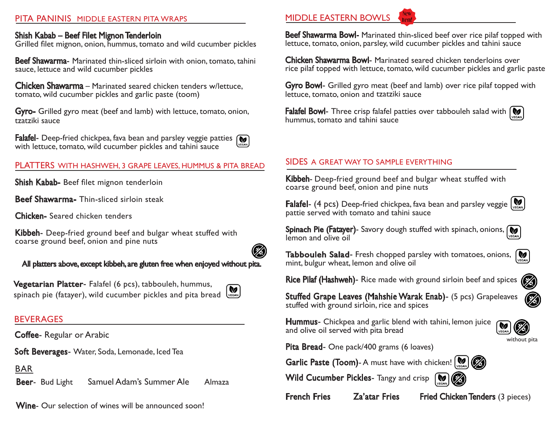#### PITA PANINIS MIDDLE EASTERN PITA WRAPS

#### Shish Kabab – Beef Filet Mignon Tenderloin

Grilled filet mignon, onion, hummus, tomato and wild cucumber pickles

**Beef Shawarma**- Marinated thin-sliced sirloin with onion, tomato, tahini sauce, lettuce and wild cucumber pickles

Chicken Shawarma – Marinated seared chicken tenders w/lettuce, tomato, wild cucumber pickles and garlic paste (toom)

Gyro- Grilled gyro meat (beef and lamb) with lettuce, tomato, onion, tzatziki sauce

Falafel- Deep-fried chickpea, fava bean and parsley veggie patties  $\sqrt{\bullet}$ with lettuce, tomato, wild cucumber pickles and tahini sauce

#### PLATTERS WITH HASHWEH, 3 GRAPE LEAVES, HUMMUS & PITA BREAD

Shish Kabab- Beef filet mignon tenderloin

Beef Shawarma- Thin-sliced sirloin steak

Chicken- Seared chicken tenders

Kibbeh- Deep-fried ground beef and bulgar wheat stuffed with coarse ground beef, onion and pine nuts

All platters above, except kibbeh, are gluten free when enjoyed without pita.

Vegetarian Platter- Falafel (6 pcs), tabbouleh, hummus, Ø. spinach pie (fatayer), wild cucumber pickles and pita bread VEGAN

#### BEVERAGES

Coffee- Regular or Arabic

Soft Beverages- Water, Soda, Lemonade, Iced Tea

BAR

Beer- Bud Light Samuel Adam's Summer Ale Almaza

Wine- Our selection of wines will be announced soon!

## MIDDLE EASTERN BOWLS

Beef Shawarma Bowl- Marinated thin-sliced beef over rice pilaf topped with lettuce, tomato, onion, parsley, wild cucumber pickles and tahini sauce

Chicken Shawarma Bowl- Marinated seared chicken tenderloins over rice pilaf topped with lettuce, tomato, wild cucumber pickles and garlic paste

Gyro Bowl- Grilled gyro meat (beef and lamb) over rice pilaf topped with lettuce, tomato, onion and tzatziki sauce

**Falafel Bowl-** Three crisp falafel patties over tabbouleh salad with  $\mathbf{w}$ hummus, tomato and tahini sauce

#### SIDES A GREAT WAY TO SAMPLE EVERYTHING

Kibbeh- Deep-fried ground beef and bulgar wheat stuffed with coarse ground beef, onion and pine nuts

**Falafel-** (4 pcs) Deep-fried chickpea, fava bean and parsley veggie  $\left[\bigotimes_{x \in S} A_x\right]$ pattie served with tomato and tahini sauce

Spinach Pie (Fatayer)- Savory dough stuffed with spinach, onions, M lemon and olive oil

Tabbouleh Salad- Fresh chopped parsley with tomatoes, onions, **V** mint, bulgur wheat, lemon and olive oil

Rice Pilaf (Hashweh)- Rice made with ground sirloin beef and spices

Stuffed Grape Leaves (Mahshie Warak Enab)- (5 pcs) Grapeleaves stuffed with ground sirloin, rice and spices

Hummus- Chickpea and garlic blend with tahini, lemon juice and olive oil served with pita bread



Pita Bread- One pack/400 grams (6 loaves)

Garlic Paste (Toom)- A must have with chicken!  $\left[\bigotimes_{v \in S_{\text{AN}}} \mathbb{I}\right]$ 

Wild Cucumber Pickles- Tangy and crisp





French Fries Za'atar Fries Fried Chicken Tenders (3 pieces)